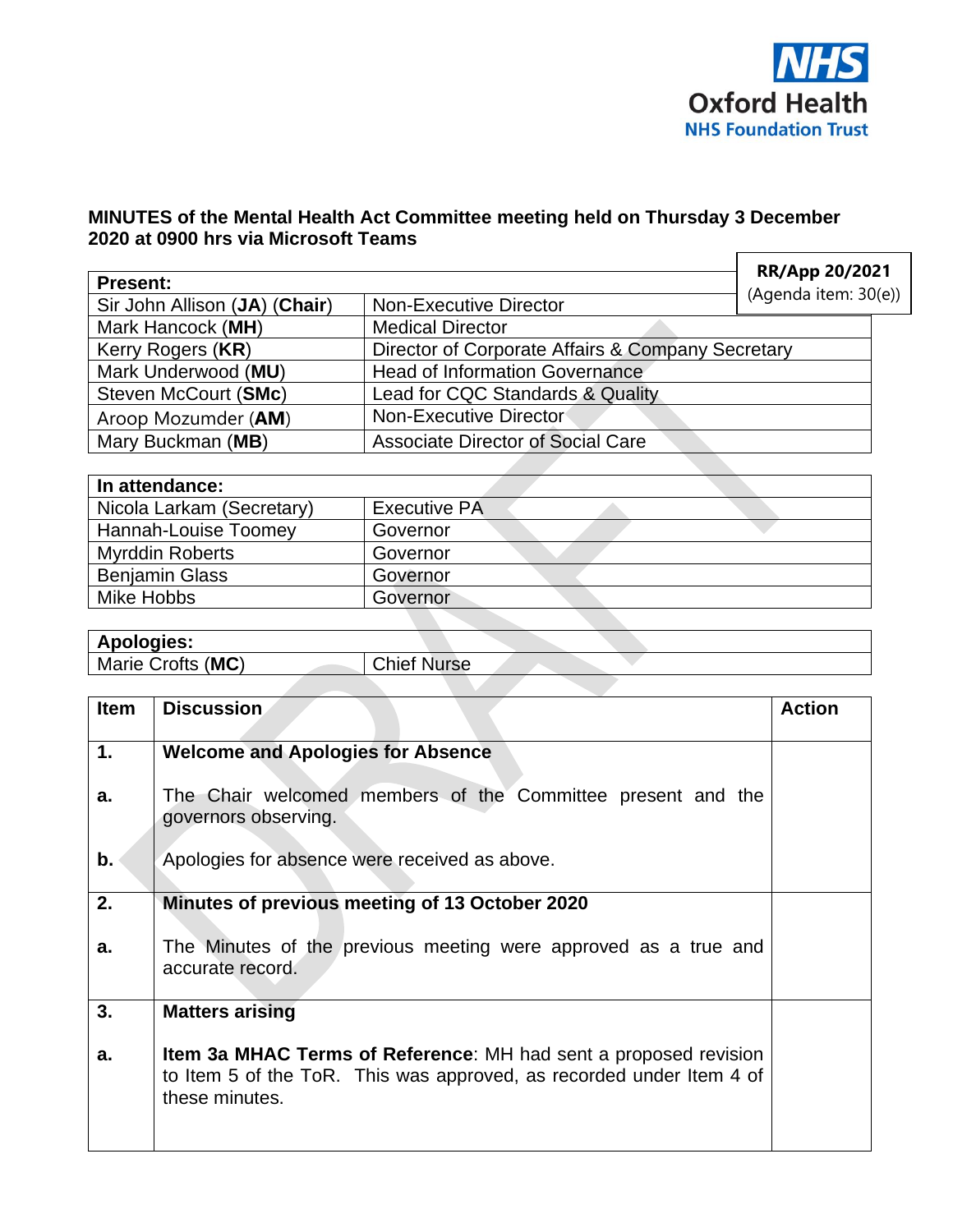

## **MINUTES of the Mental Health Act Committee meeting held on Thursday 3 December 2020 at 0900 hrs via Microsoft Teams**  $\Gamma$

| <b>Present:</b>               | RR/App 20/2021                                    |                      |  |
|-------------------------------|---------------------------------------------------|----------------------|--|
| Sir John Allison (JA) (Chair) | <b>Non-Executive Director</b>                     | (Agenda item: 30(e)) |  |
| Mark Hancock (MH)             | <b>Medical Director</b>                           |                      |  |
| Kerry Rogers (KR)             | Director of Corporate Affairs & Company Secretary |                      |  |
| Mark Underwood (MU)           | <b>Head of Information Governance</b>             |                      |  |
| Steven McCourt (SMc)          | Lead for CQC Standards & Quality                  |                      |  |
| Aroop Mozumder (AM)           | Non-Executive Director                            |                      |  |
| Mary Buckman (MB)             | <b>Associate Director of Social Care</b>          |                      |  |

| In attendance:            |                     |  |
|---------------------------|---------------------|--|
| Nicola Larkam (Secretary) | <b>Executive PA</b> |  |
| Hannah-Louise Toomey      | Governor            |  |
| <b>Myrddin Roberts</b>    | Governor            |  |
| <b>Benjamin Glass</b>     | Governor            |  |
| Mike Hobbs                | Governor            |  |

## **Apologies:**

| Marie Crofts (MC) |  | <b>Chief Nurse</b> |  |
|-------------------|--|--------------------|--|
|                   |  |                    |  |

| <b>Item</b> | <b>Discussion</b>                                                                                                                                                 | <b>Action</b> |
|-------------|-------------------------------------------------------------------------------------------------------------------------------------------------------------------|---------------|
|             |                                                                                                                                                                   |               |
| 1.          | <b>Welcome and Apologies for Absence</b>                                                                                                                          |               |
| a.          | The Chair welcomed members of the Committee present and the<br>governors observing.                                                                               |               |
| b.          | Apologies for absence were received as above.                                                                                                                     |               |
| 2.          | Minutes of previous meeting of 13 October 2020                                                                                                                    |               |
| a.          | The Minutes of the previous meeting were approved as a true and<br>accurate record.                                                                               |               |
| 3.          | <b>Matters arising</b>                                                                                                                                            |               |
| a.          | <b>Item 3a MHAC Terms of Reference:</b> MH had sent a proposed revision<br>to Item 5 of the ToR. This was approved, as recorded under Item 4 of<br>these minutes. |               |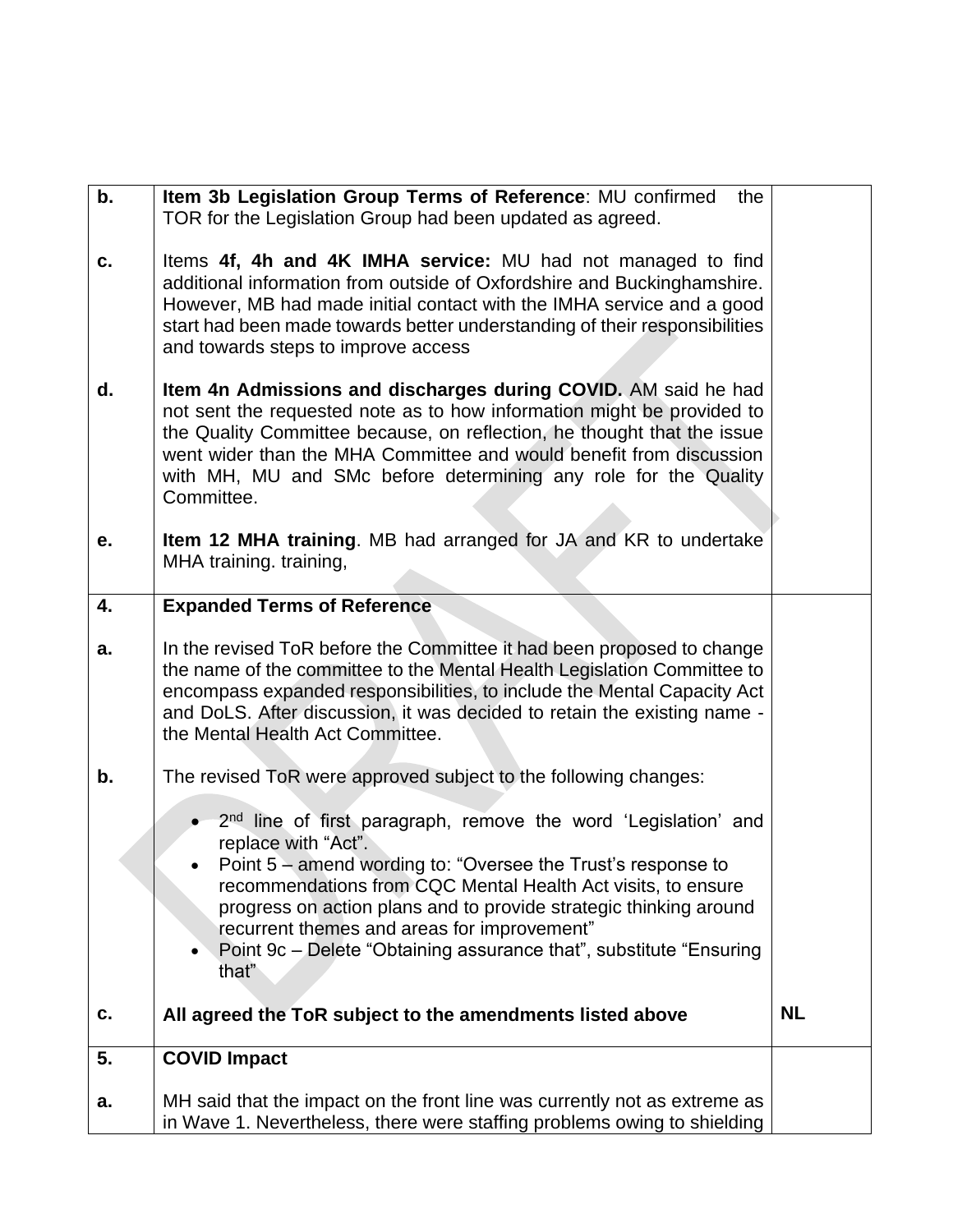| b. | Item 3b Legislation Group Terms of Reference: MU confirmed<br>the<br>TOR for the Legislation Group had been updated as agreed.                                                                                                                                                                                                                                                                                                            |           |
|----|-------------------------------------------------------------------------------------------------------------------------------------------------------------------------------------------------------------------------------------------------------------------------------------------------------------------------------------------------------------------------------------------------------------------------------------------|-----------|
| C. | Items 4f, 4h and 4K IMHA service: MU had not managed to find<br>additional information from outside of Oxfordshire and Buckinghamshire.<br>However, MB had made initial contact with the IMHA service and a good<br>start had been made towards better understanding of their responsibilities<br>and towards steps to improve access                                                                                                     |           |
| d. | Item 4n Admissions and discharges during COVID. AM said he had<br>not sent the requested note as to how information might be provided to<br>the Quality Committee because, on reflection, he thought that the issue<br>went wider than the MHA Committee and would benefit from discussion<br>with MH, MU and SMc before determining any role for the Quality<br>Committee.                                                               |           |
| е. | <b>Item 12 MHA training.</b> MB had arranged for JA and KR to undertake<br>MHA training. training,                                                                                                                                                                                                                                                                                                                                        |           |
| 4. | <b>Expanded Terms of Reference</b>                                                                                                                                                                                                                                                                                                                                                                                                        |           |
| a. | In the revised ToR before the Committee it had been proposed to change<br>the name of the committee to the Mental Health Legislation Committee to<br>encompass expanded responsibilities, to include the Mental Capacity Act<br>and DoLS. After discussion, it was decided to retain the existing name -<br>the Mental Health Act Committee.                                                                                              |           |
| b. | The revised ToR were approved subject to the following changes:                                                                                                                                                                                                                                                                                                                                                                           |           |
|    | 2 <sup>nd</sup> line of first paragraph, remove the word 'Legislation' and<br>replace with "Act".<br>• Point $5$ – amend wording to: "Oversee the Trust's response to<br>recommendations from CQC Mental Health Act visits, to ensure<br>progress on action plans and to provide strategic thinking around<br>recurrent themes and areas for improvement"<br>Point 9c – Delete "Obtaining assurance that", substitute "Ensuring"<br>that" |           |
| c. | All agreed the ToR subject to the amendments listed above                                                                                                                                                                                                                                                                                                                                                                                 | <b>NL</b> |
| 5. | <b>COVID Impact</b>                                                                                                                                                                                                                                                                                                                                                                                                                       |           |
| а. | MH said that the impact on the front line was currently not as extreme as<br>in Wave 1. Nevertheless, there were staffing problems owing to shielding                                                                                                                                                                                                                                                                                     |           |
|    |                                                                                                                                                                                                                                                                                                                                                                                                                                           |           |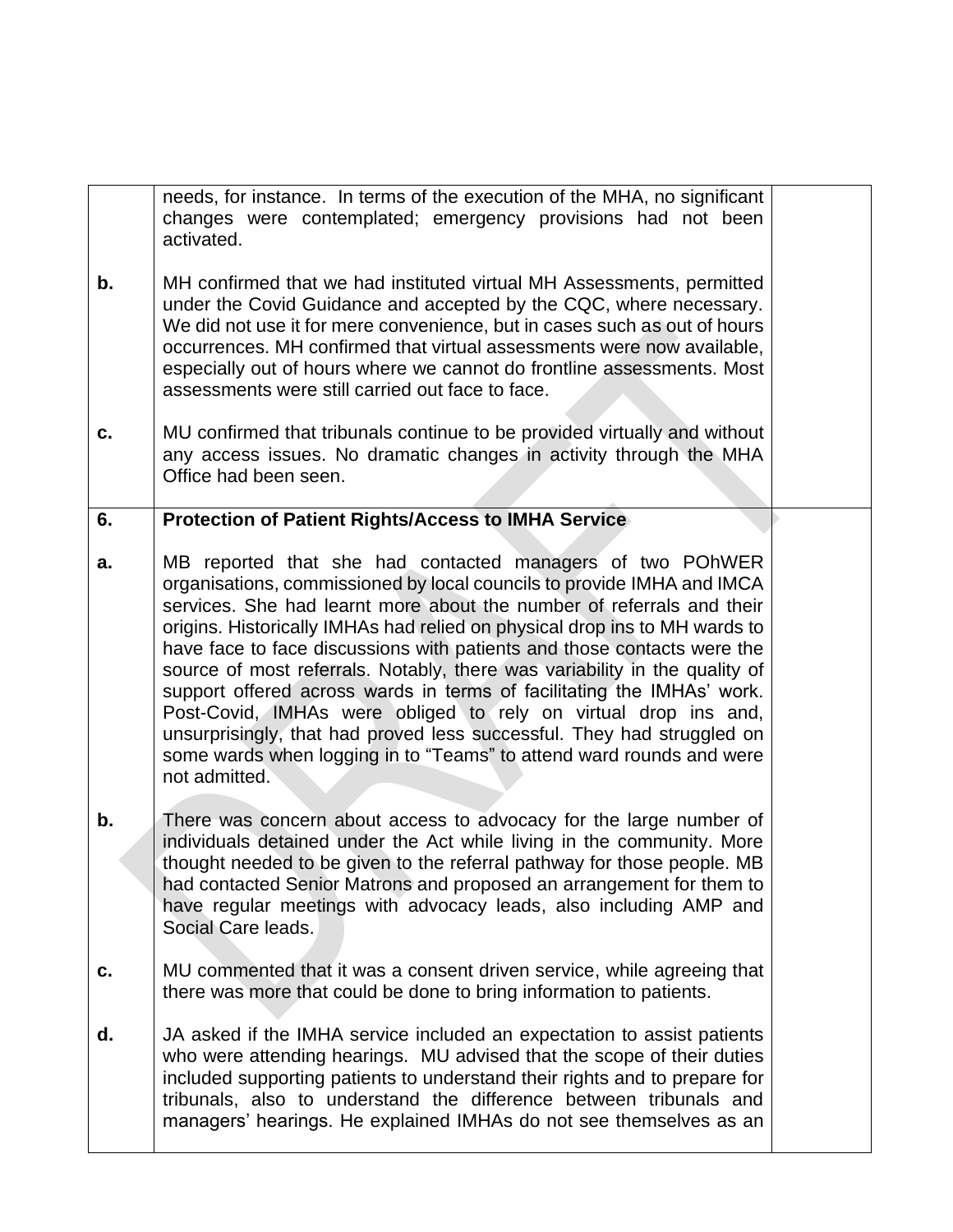needs, for instance. In terms of the execution of the MHA, no significant changes were contemplated; emergency provisions had not been activated.

- **b.** MH confirmed that we had instituted virtual MH Assessments, permitted under the Covid Guidance and accepted by the CQC, where necessary. We did not use it for mere convenience, but in cases such as out of hours occurrences. MH confirmed that virtual assessments were now available, especially out of hours where we cannot do frontline assessments. Most assessments were still carried out face to face.
- **c.** MU confirmed that tribunals continue to be provided virtually and without any access issues. No dramatic changes in activity through the MHA Office had been seen.

## **6. Protection of Patient Rights/Access to IMHA Service**

- **a.** MB reported that she had contacted managers of two POhWER organisations, commissioned by local councils to provide IMHA and IMCA services. She had learnt more about the number of referrals and their origins. Historically IMHAs had relied on physical drop ins to MH wards to have face to face discussions with patients and those contacts were the source of most referrals. Notably, there was variability in the quality of support offered across wards in terms of facilitating the IMHAs' work. Post-Covid, IMHAs were obliged to rely on virtual drop ins and, unsurprisingly, that had proved less successful. They had struggled on some wards when logging in to "Teams" to attend ward rounds and were not admitted.
- **b.** There was concern about access to advocacy for the large number of individuals detained under the Act while living in the community. More thought needed to be given to the referral pathway for those people. MB had contacted Senior Matrons and proposed an arrangement for them to have regular meetings with advocacy leads, also including AMP and Social Care leads.
- **c.** MU commented that it was a consent driven service, while agreeing that there was more that could be done to bring information to patients.
- **d.** JA asked if the IMHA service included an expectation to assist patients who were attending hearings. MU advised that the scope of their duties included supporting patients to understand their rights and to prepare for tribunals, also to understand the difference between tribunals and managers' hearings. He explained IMHAs do not see themselves as an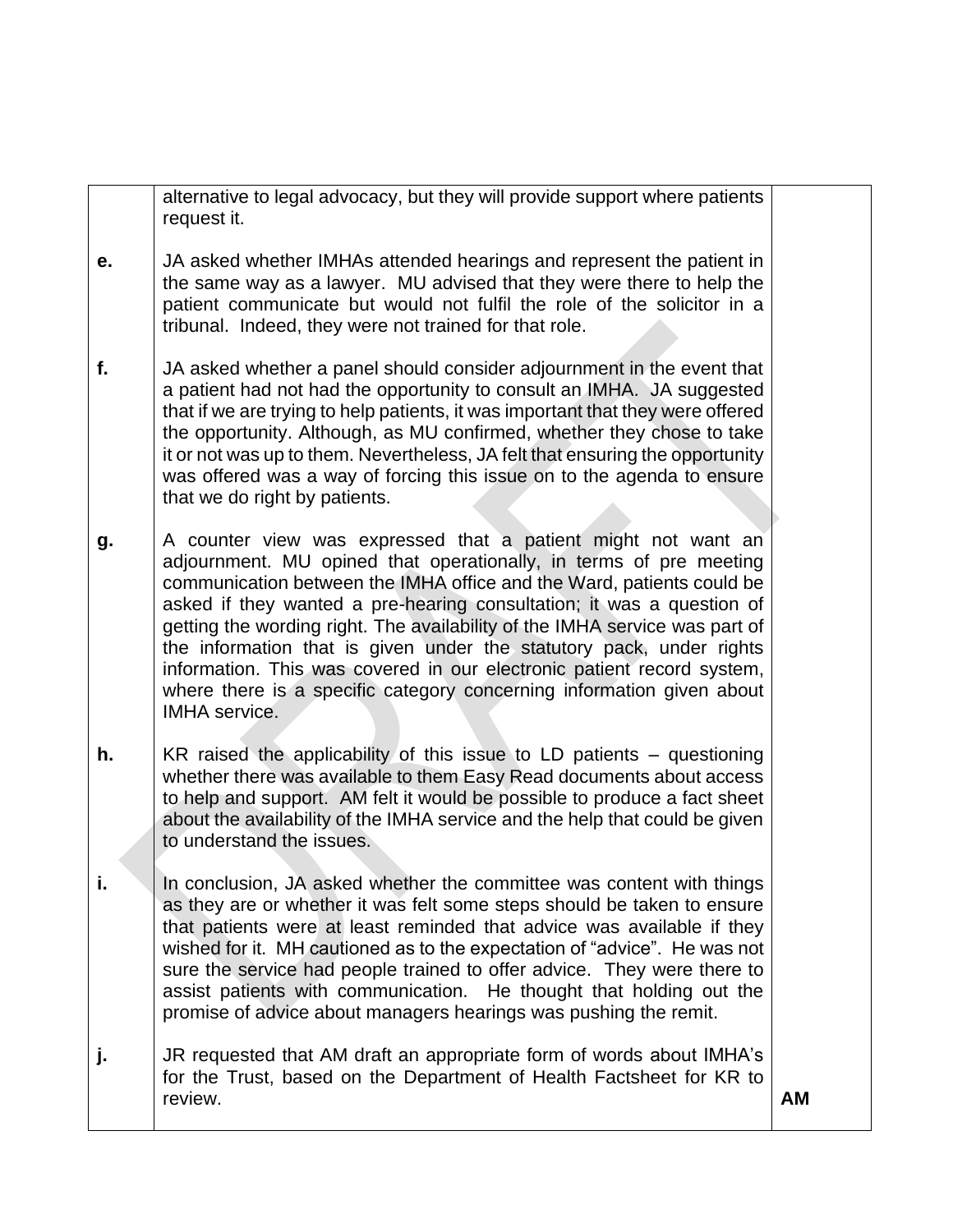|    | alternative to legal advocacy, but they will provide support where patients<br>request it.                                                                                                                                                                                                                                                                                                                                                                                                                                                                                                                              |    |
|----|-------------------------------------------------------------------------------------------------------------------------------------------------------------------------------------------------------------------------------------------------------------------------------------------------------------------------------------------------------------------------------------------------------------------------------------------------------------------------------------------------------------------------------------------------------------------------------------------------------------------------|----|
| е. | JA asked whether IMHAs attended hearings and represent the patient in<br>the same way as a lawyer. MU advised that they were there to help the<br>patient communicate but would not fulfil the role of the solicitor in a<br>tribunal. Indeed, they were not trained for that role.                                                                                                                                                                                                                                                                                                                                     |    |
| f. | JA asked whether a panel should consider adjournment in the event that<br>a patient had not had the opportunity to consult an IMHA. JA suggested<br>that if we are trying to help patients, it was important that they were offered<br>the opportunity. Although, as MU confirmed, whether they chose to take<br>it or not was up to them. Nevertheless, JA felt that ensuring the opportunity<br>was offered was a way of forcing this issue on to the agenda to ensure<br>that we do right by patients.                                                                                                               |    |
| g. | A counter view was expressed that a patient might not want an<br>adjournment. MU opined that operationally, in terms of pre meeting<br>communication between the IMHA office and the Ward, patients could be<br>asked if they wanted a pre-hearing consultation; it was a question of<br>getting the wording right. The availability of the IMHA service was part of<br>the information that is given under the statutory pack, under rights<br>information. This was covered in our electronic patient record system,<br>where there is a specific category concerning information given about<br><b>IMHA</b> service. |    |
| h. | KR raised the applicability of this issue to LD patients - questioning<br>whether there was available to them Easy Read documents about access<br>to help and support. AM felt it would be possible to produce a fact sheet<br>about the availability of the IMHA service and the help that could be given<br>to understand the issues.                                                                                                                                                                                                                                                                                 |    |
| i. | In conclusion, JA asked whether the committee was content with things<br>as they are or whether it was felt some steps should be taken to ensure<br>that patients were at least reminded that advice was available if they<br>wished for it. MH cautioned as to the expectation of "advice". He was not<br>sure the service had people trained to offer advice. They were there to<br>assist patients with communication. He thought that holding out the<br>promise of advice about managers hearings was pushing the remit.                                                                                           |    |
| j. | JR requested that AM draft an appropriate form of words about IMHA's<br>for the Trust, based on the Department of Health Factsheet for KR to<br>review.                                                                                                                                                                                                                                                                                                                                                                                                                                                                 | AM |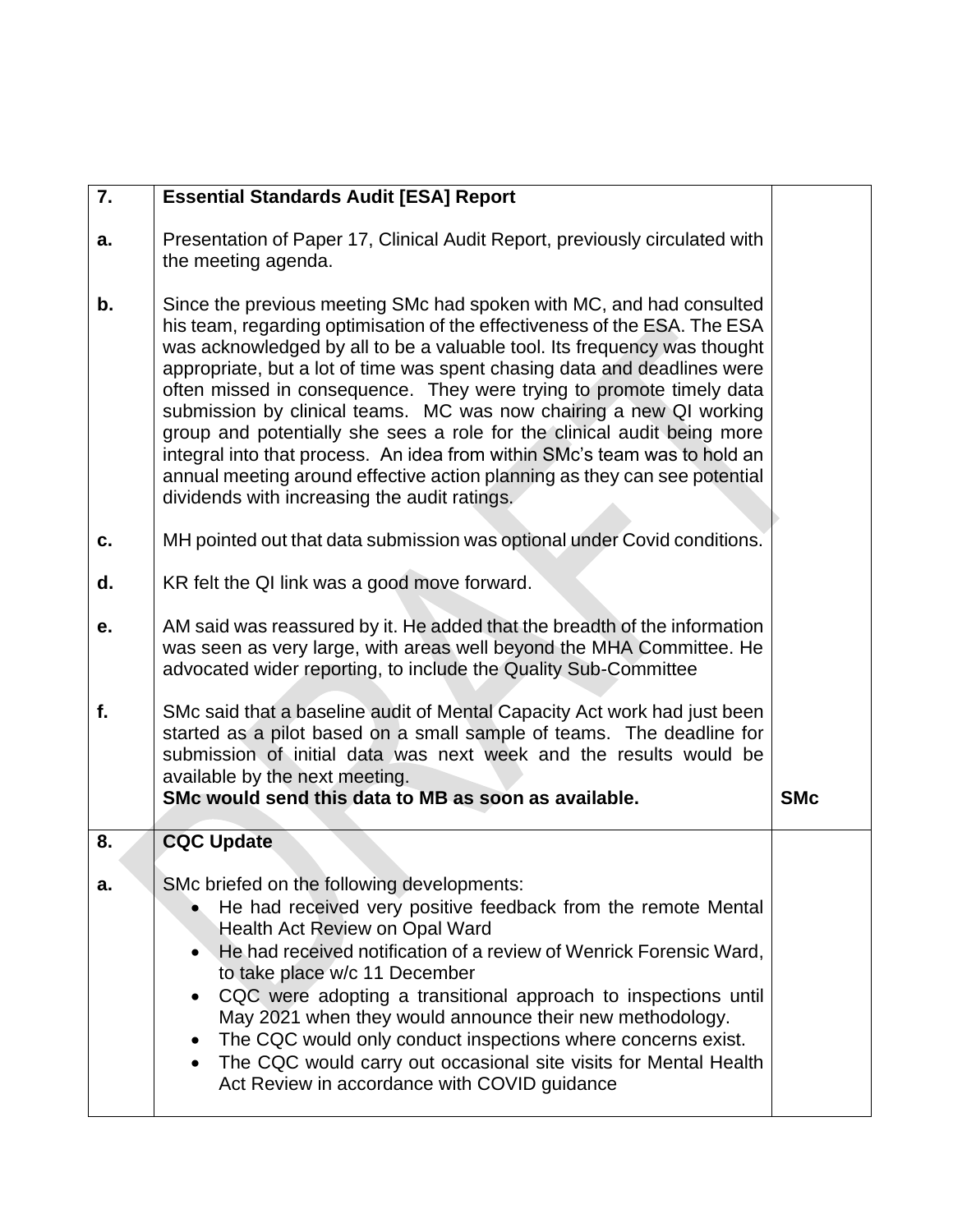| 7. | <b>Essential Standards Audit [ESA] Report</b>                                                                                                                                                                                                                                                                                                                                                                                                                                                                                                                                                                                                                                                                                                |            |
|----|----------------------------------------------------------------------------------------------------------------------------------------------------------------------------------------------------------------------------------------------------------------------------------------------------------------------------------------------------------------------------------------------------------------------------------------------------------------------------------------------------------------------------------------------------------------------------------------------------------------------------------------------------------------------------------------------------------------------------------------------|------------|
| a. | Presentation of Paper 17, Clinical Audit Report, previously circulated with<br>the meeting agenda.                                                                                                                                                                                                                                                                                                                                                                                                                                                                                                                                                                                                                                           |            |
| b. | Since the previous meeting SMc had spoken with MC, and had consulted<br>his team, regarding optimisation of the effectiveness of the ESA. The ESA<br>was acknowledged by all to be a valuable tool. Its frequency was thought<br>appropriate, but a lot of time was spent chasing data and deadlines were<br>often missed in consequence. They were trying to promote timely data<br>submission by clinical teams. MC was now chairing a new QI working<br>group and potentially she sees a role for the clinical audit being more<br>integral into that process. An idea from within SMc's team was to hold an<br>annual meeting around effective action planning as they can see potential<br>dividends with increasing the audit ratings. |            |
| C. | MH pointed out that data submission was optional under Covid conditions.                                                                                                                                                                                                                                                                                                                                                                                                                                                                                                                                                                                                                                                                     |            |
| d. | KR felt the QI link was a good move forward.                                                                                                                                                                                                                                                                                                                                                                                                                                                                                                                                                                                                                                                                                                 |            |
| е. | AM said was reassured by it. He added that the breadth of the information<br>was seen as very large, with areas well beyond the MHA Committee. He<br>advocated wider reporting, to include the Quality Sub-Committee                                                                                                                                                                                                                                                                                                                                                                                                                                                                                                                         |            |
| f. | SMc said that a baseline audit of Mental Capacity Act work had just been<br>started as a pilot based on a small sample of teams. The deadline for<br>submission of initial data was next week and the results would be<br>available by the next meeting.<br>SMc would send this data to MB as soon as available.                                                                                                                                                                                                                                                                                                                                                                                                                             | <b>SMc</b> |
| 8. | <b>CQC Update</b>                                                                                                                                                                                                                                                                                                                                                                                                                                                                                                                                                                                                                                                                                                                            |            |
| а. | SMc briefed on the following developments:<br>He had received very positive feedback from the remote Mental<br><b>Health Act Review on Opal Ward</b><br>He had received notification of a review of Wenrick Forensic Ward,<br>$\bullet$<br>to take place w/c 11 December<br>CQC were adopting a transitional approach to inspections until<br>$\bullet$<br>May 2021 when they would announce their new methodology.<br>The CQC would only conduct inspections where concerns exist.<br>٠<br>The CQC would carry out occasional site visits for Mental Health<br>$\bullet$<br>Act Review in accordance with COVID guidance                                                                                                                    |            |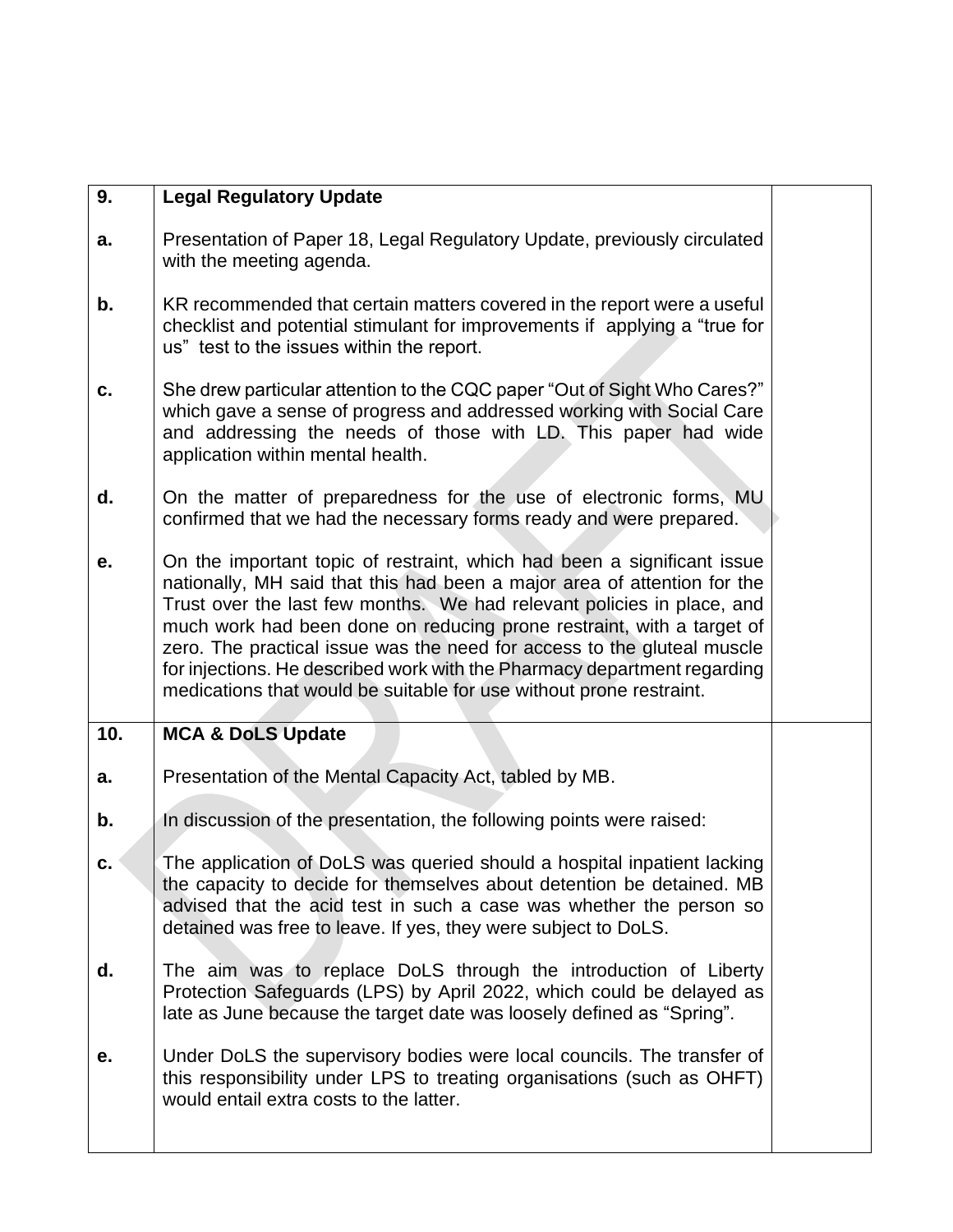| 9.  | <b>Legal Regulatory Update</b>                                                                                                                                                                                                                                                                                                                                                                                                                                                                                                       |  |
|-----|--------------------------------------------------------------------------------------------------------------------------------------------------------------------------------------------------------------------------------------------------------------------------------------------------------------------------------------------------------------------------------------------------------------------------------------------------------------------------------------------------------------------------------------|--|
| a.  | Presentation of Paper 18, Legal Regulatory Update, previously circulated<br>with the meeting agenda.                                                                                                                                                                                                                                                                                                                                                                                                                                 |  |
| b.  | KR recommended that certain matters covered in the report were a useful<br>checklist and potential stimulant for improvements if applying a "true for<br>us" test to the issues within the report.                                                                                                                                                                                                                                                                                                                                   |  |
| C.  | She drew particular attention to the CQC paper "Out of Sight Who Cares?"<br>which gave a sense of progress and addressed working with Social Care<br>and addressing the needs of those with LD. This paper had wide<br>application within mental health.                                                                                                                                                                                                                                                                             |  |
| d.  | On the matter of preparedness for the use of electronic forms, MU<br>confirmed that we had the necessary forms ready and were prepared.                                                                                                                                                                                                                                                                                                                                                                                              |  |
| е.  | On the important topic of restraint, which had been a significant issue<br>nationally, MH said that this had been a major area of attention for the<br>Trust over the last few months. We had relevant policies in place, and<br>much work had been done on reducing prone restraint, with a target of<br>zero. The practical issue was the need for access to the gluteal muscle<br>for injections. He described work with the Pharmacy department regarding<br>medications that would be suitable for use without prone restraint. |  |
|     |                                                                                                                                                                                                                                                                                                                                                                                                                                                                                                                                      |  |
| 10. | <b>MCA &amp; DoLS Update</b>                                                                                                                                                                                                                                                                                                                                                                                                                                                                                                         |  |
| a.  | Presentation of the Mental Capacity Act, tabled by MB.                                                                                                                                                                                                                                                                                                                                                                                                                                                                               |  |
| b.  | In discussion of the presentation, the following points were raised:                                                                                                                                                                                                                                                                                                                                                                                                                                                                 |  |
| C.  | The application of DoLS was queried should a hospital inpatient lacking<br>the capacity to decide for themselves about detention be detained. MB<br>advised that the acid test in such a case was whether the person so<br>detained was free to leave. If yes, they were subject to DoLS.                                                                                                                                                                                                                                            |  |
| d.  | The aim was to replace DoLS through the introduction of Liberty<br>Protection Safeguards (LPS) by April 2022, which could be delayed as<br>late as June because the target date was loosely defined as "Spring".                                                                                                                                                                                                                                                                                                                     |  |
| е.  | Under DoLS the supervisory bodies were local councils. The transfer of<br>this responsibility under LPS to treating organisations (such as OHFT)<br>would entail extra costs to the latter.                                                                                                                                                                                                                                                                                                                                          |  |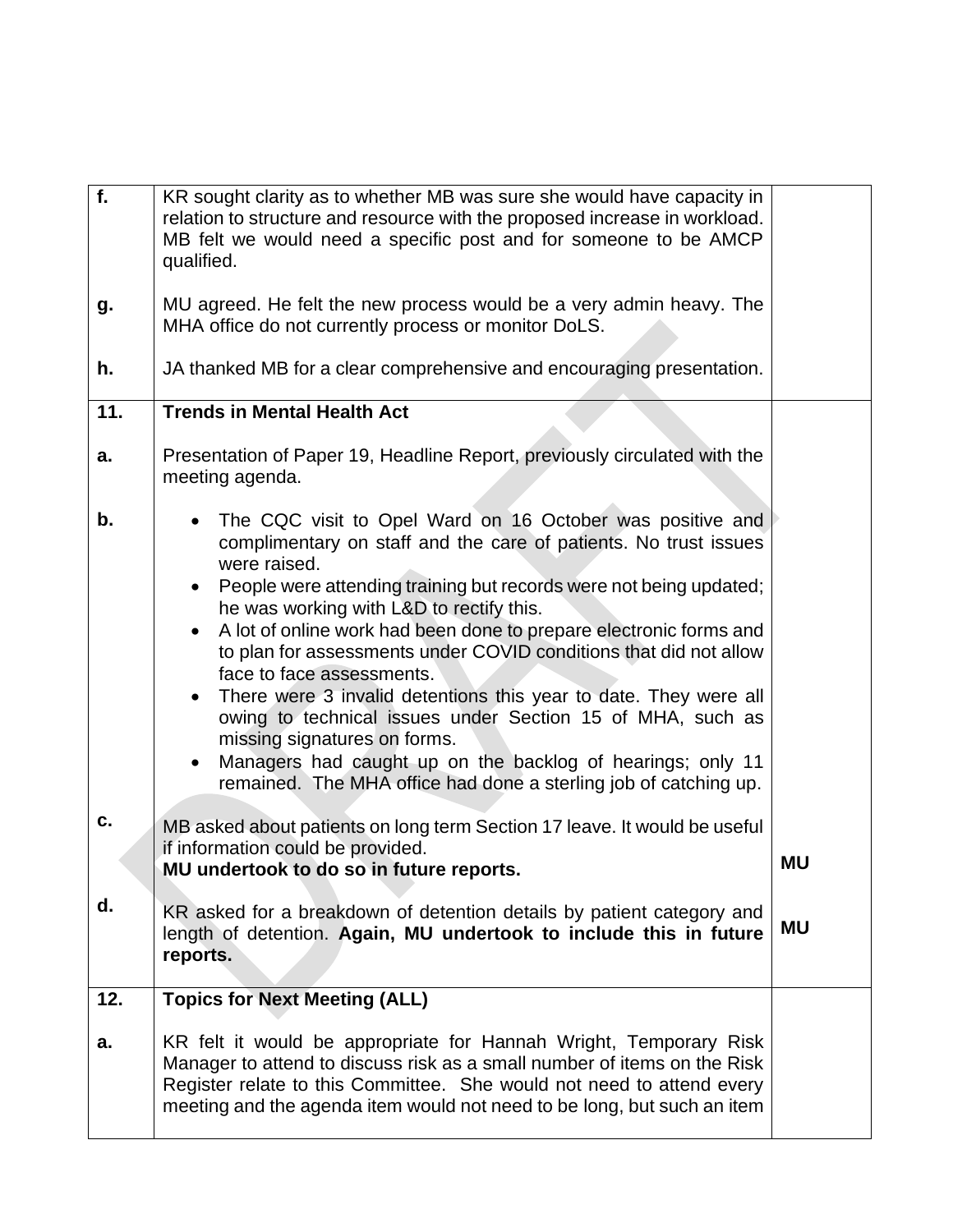| f.  | KR sought clarity as to whether MB was sure she would have capacity in<br>relation to structure and resource with the proposed increase in workload.<br>MB felt we would need a specific post and for someone to be AMCP<br>qualified.                                                                                                                                                                                                                                                                                                                                                                                                                                                                                                                                                                       |           |
|-----|--------------------------------------------------------------------------------------------------------------------------------------------------------------------------------------------------------------------------------------------------------------------------------------------------------------------------------------------------------------------------------------------------------------------------------------------------------------------------------------------------------------------------------------------------------------------------------------------------------------------------------------------------------------------------------------------------------------------------------------------------------------------------------------------------------------|-----------|
| g.  | MU agreed. He felt the new process would be a very admin heavy. The<br>MHA office do not currently process or monitor DoLS.                                                                                                                                                                                                                                                                                                                                                                                                                                                                                                                                                                                                                                                                                  |           |
| h.  | JA thanked MB for a clear comprehensive and encouraging presentation.                                                                                                                                                                                                                                                                                                                                                                                                                                                                                                                                                                                                                                                                                                                                        |           |
| 11. | <b>Trends in Mental Health Act</b>                                                                                                                                                                                                                                                                                                                                                                                                                                                                                                                                                                                                                                                                                                                                                                           |           |
| а.  | Presentation of Paper 19, Headline Report, previously circulated with the<br>meeting agenda.                                                                                                                                                                                                                                                                                                                                                                                                                                                                                                                                                                                                                                                                                                                 |           |
| b.  | The CQC visit to Opel Ward on 16 October was positive and<br>$\bullet$<br>complimentary on staff and the care of patients. No trust issues<br>were raised.<br>People were attending training but records were not being updated;<br>$\bullet$<br>he was working with L&D to rectify this.<br>A lot of online work had been done to prepare electronic forms and<br>$\bullet$<br>to plan for assessments under COVID conditions that did not allow<br>face to face assessments.<br>There were 3 invalid detentions this year to date. They were all<br>$\bullet$<br>owing to technical issues under Section 15 of MHA, such as<br>missing signatures on forms.<br>Managers had caught up on the backlog of hearings; only 11<br>$\bullet$<br>remained. The MHA office had done a sterling job of catching up. |           |
| C.  | MB asked about patients on long term Section 17 leave. It would be useful<br>if information could be provided.<br>MU undertook to do so in future reports.                                                                                                                                                                                                                                                                                                                                                                                                                                                                                                                                                                                                                                                   | <b>MU</b> |
| d.  | KR asked for a breakdown of detention details by patient category and<br>length of detention. Again, MU undertook to include this in future<br>reports.                                                                                                                                                                                                                                                                                                                                                                                                                                                                                                                                                                                                                                                      | <b>MU</b> |
| 12. | <b>Topics for Next Meeting (ALL)</b>                                                                                                                                                                                                                                                                                                                                                                                                                                                                                                                                                                                                                                                                                                                                                                         |           |
| a.  | KR felt it would be appropriate for Hannah Wright, Temporary Risk<br>Manager to attend to discuss risk as a small number of items on the Risk<br>Register relate to this Committee. She would not need to attend every<br>meeting and the agenda item would not need to be long, but such an item                                                                                                                                                                                                                                                                                                                                                                                                                                                                                                            |           |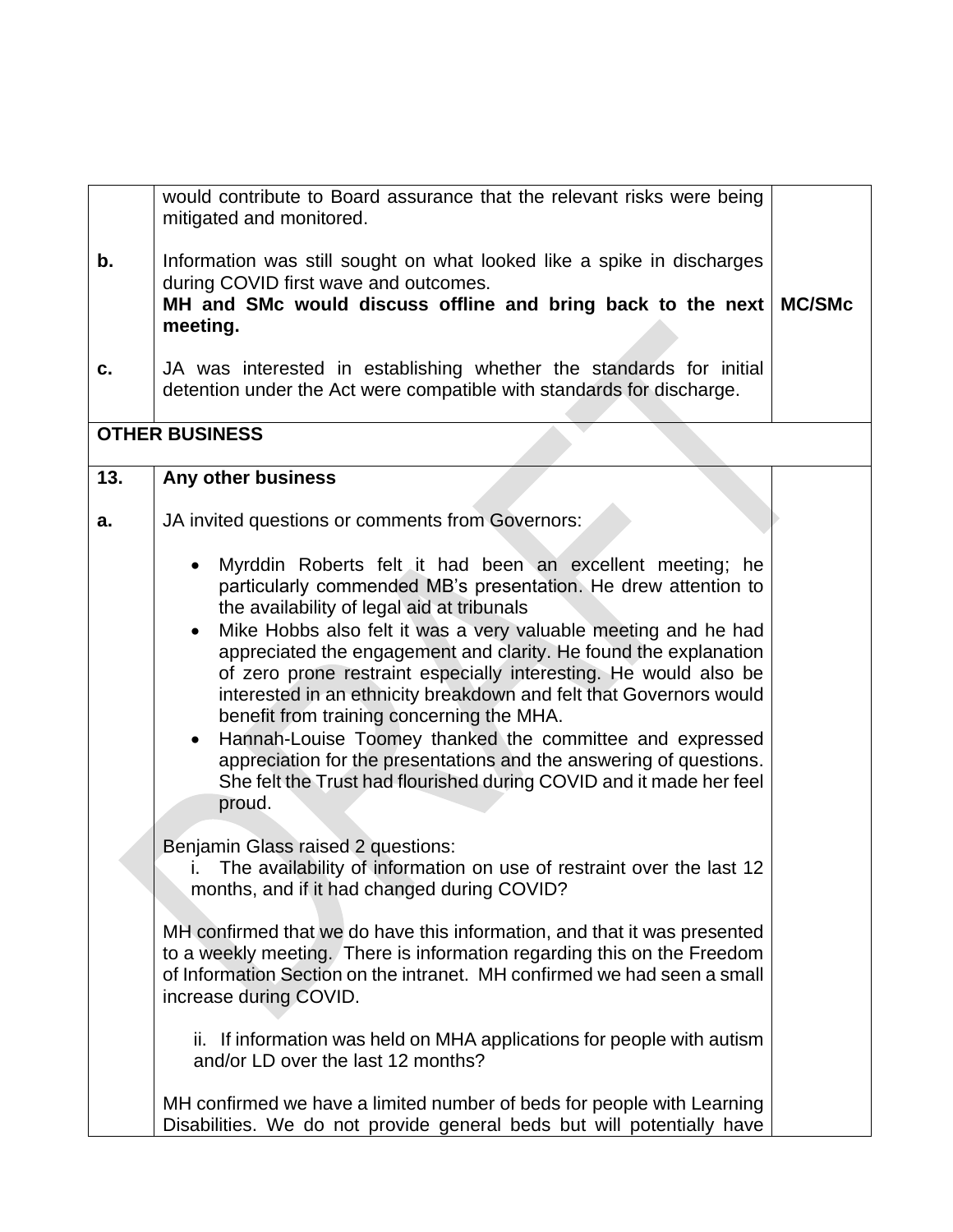|     | would contribute to Board assurance that the relevant risks were being<br>mitigated and monitored.                                                                                                                                                                                                                                                                                                                                                                                                                                                                                                                                                                                                                                                                                                                                                                                                                                                                                                                                                                                                                                                                                                                                                                                                                                                  |               |
|-----|-----------------------------------------------------------------------------------------------------------------------------------------------------------------------------------------------------------------------------------------------------------------------------------------------------------------------------------------------------------------------------------------------------------------------------------------------------------------------------------------------------------------------------------------------------------------------------------------------------------------------------------------------------------------------------------------------------------------------------------------------------------------------------------------------------------------------------------------------------------------------------------------------------------------------------------------------------------------------------------------------------------------------------------------------------------------------------------------------------------------------------------------------------------------------------------------------------------------------------------------------------------------------------------------------------------------------------------------------------|---------------|
| b.  | Information was still sought on what looked like a spike in discharges<br>during COVID first wave and outcomes.<br>MH and SMc would discuss offline and bring back to the next<br>meeting.                                                                                                                                                                                                                                                                                                                                                                                                                                                                                                                                                                                                                                                                                                                                                                                                                                                                                                                                                                                                                                                                                                                                                          | <b>MC/SMc</b> |
| C.  | JA was interested in establishing whether the standards for initial<br>detention under the Act were compatible with standards for discharge.                                                                                                                                                                                                                                                                                                                                                                                                                                                                                                                                                                                                                                                                                                                                                                                                                                                                                                                                                                                                                                                                                                                                                                                                        |               |
|     | <b>OTHER BUSINESS</b>                                                                                                                                                                                                                                                                                                                                                                                                                                                                                                                                                                                                                                                                                                                                                                                                                                                                                                                                                                                                                                                                                                                                                                                                                                                                                                                               |               |
| 13. | Any other business                                                                                                                                                                                                                                                                                                                                                                                                                                                                                                                                                                                                                                                                                                                                                                                                                                                                                                                                                                                                                                                                                                                                                                                                                                                                                                                                  |               |
| а.  | JA invited questions or comments from Governors:                                                                                                                                                                                                                                                                                                                                                                                                                                                                                                                                                                                                                                                                                                                                                                                                                                                                                                                                                                                                                                                                                                                                                                                                                                                                                                    |               |
|     | Myrddin Roberts felt it had been an excellent meeting; he<br>particularly commended MB's presentation. He drew attention to<br>the availability of legal aid at tribunals<br>Mike Hobbs also felt it was a very valuable meeting and he had<br>appreciated the engagement and clarity. He found the explanation<br>of zero prone restraint especially interesting. He would also be<br>interested in an ethnicity breakdown and felt that Governors would<br>benefit from training concerning the MHA.<br>Hannah-Louise Toomey thanked the committee and expressed<br>appreciation for the presentations and the answering of questions.<br>She felt the Trust had flourished during COVID and it made her feel<br>proud.<br>Benjamin Glass raised 2 questions:<br>i. The availability of information on use of restraint over the last 12<br>months, and if it had changed during COVID?<br>MH confirmed that we do have this information, and that it was presented<br>to a weekly meeting. There is information regarding this on the Freedom<br>of Information Section on the intranet. MH confirmed we had seen a small<br>increase during COVID.<br>If information was held on MHA applications for people with autism<br>ii.<br>and/or LD over the last 12 months?<br>MH confirmed we have a limited number of beds for people with Learning |               |
|     | Disabilities. We do not provide general beds but will potentially have                                                                                                                                                                                                                                                                                                                                                                                                                                                                                                                                                                                                                                                                                                                                                                                                                                                                                                                                                                                                                                                                                                                                                                                                                                                                              |               |